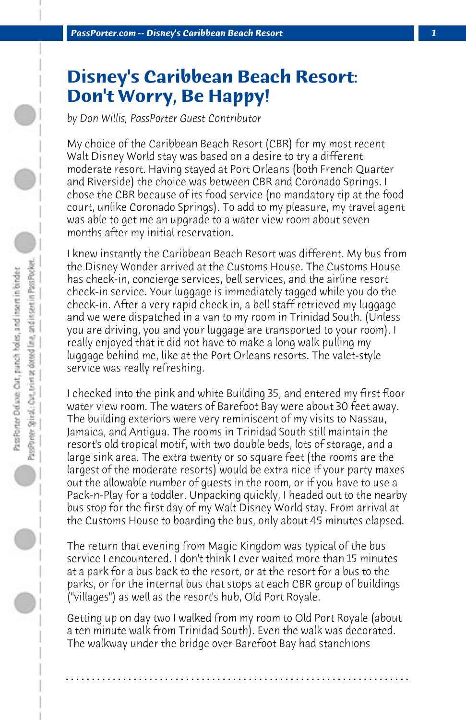## **Disney's Caribbean Beach Resort: Don't Worry, Be Happy!**

*by Don Willis, PassPorter Guest Contributor*

My choice of the Caribbean Beach Resort (CBR) for my most recent Walt Disney World stay was based on a desire to try a different moderate resort. Having stayed at Port Orleans (both French Quarter and Riverside) the choice was between CBR and Coronado Springs. I chose the CBR because of its food service (no mandatory tip at the food court, unlike Coronado Springs). To add to my pleasure, my travel agent was able to get me an upgrade to a water view room about seven months after my initial reservation.

I knew instantly the Caribbean Beach Resort was different. My bus from the Disney Wonder arrived at the Customs House. The Customs House has check-in, concierge services, bell services, and the airline resort check-in service. Your luggage is immediately tagged while you do the check-in. After a very rapid check in, a bell staff retrieved my luggage and we were dispatched in a van to my room in Trinidad South. (Unless you are driving, you and your luggage are transported to your room). I really enjoyed that it did not have to make a long walk pulling my luggage behind me, like at the Port Orleans resorts. The valet-style service was really refreshing.

I checked into the pink and white Building 35, and entered my first floor water view room. The waters of Barefoot Bay were about 30 feet away. The building exteriors were very reminiscent of my visits to Nassau, Jamaica, and Antigua. The rooms in Trinidad South still maintain the resort's old tropical motif, with two double beds, lots of storage, and a large sink area. The extra twenty or so square feet (the rooms are the largest of the moderate resorts) would be extra nice if your party maxes out the allowable number of guests in the room, or if you have to use a Pack-n-Play for a toddler. Unpacking quickly, I headed out to the nearby bus stop for the first day of my Walt Disney World stay. From arrival at the Customs House to boarding the bus, only about 45 minutes elapsed.

The return that evening from Magic Kingdom was typical of the bus service I encountered. I don't think I ever waited more than 15 minutes at a park for a bus back to the resort, or at the resort for a bus to the parks, or for the internal bus that stops at each CBR group of buildings ("villages") as well as the resort's hub, Old Port Royale.

Getting up on day two I walked from my room to Old Port Royale (about a ten minute walk from Trinidad South). Even the walk was decorated. The walkway under the bridge over Barefoot Bay had stanchions

**. . . . . . . . . . . . . . . . . . . . . . . . . . . . . . . . . . . . . . . . . . . . . . . . . . . . . . . . . . . . . . . . . .**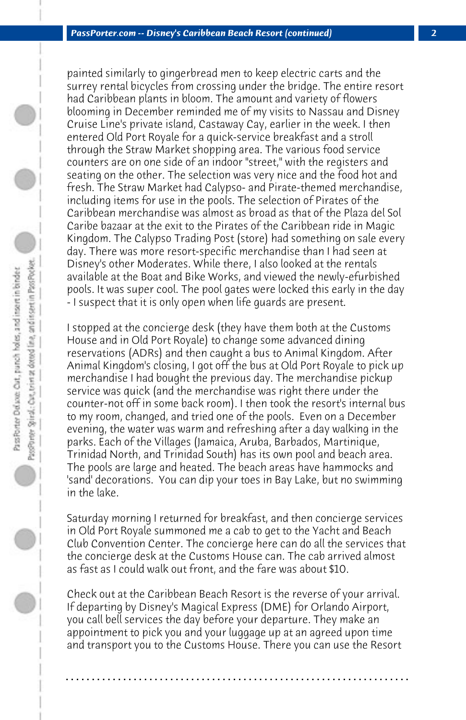painted similarly to gingerbread men to keep electric carts and the surrey rental bicycles from crossing under the bridge. The entire resort had Caribbean plants in bloom. The amount and variety of flowers blooming in December reminded me of my visits to Nassau and Disney Cruise Line's private island, Castaway Cay, earlier in the week. I then entered Old Port Royale for a quick-service breakfast and a stroll through the Straw Market shopping area. The various food service counters are on one side of an indoor "street," with the registers and seating on the other. The selection was very nice and the food hot and fresh. The Straw Market had Calypso- and Pirate-themed merchandise, including items for use in the pools. The selection of Pirates of the Caribbean merchandise was almost as broad as that of the Plaza del Sol Caribe bazaar at the exit to the Pirates of the Caribbean ride in Magic Kingdom. The Calypso Trading Post (store) had something on sale every day. There was more resort-specific merchandise than I had seen at Disney's other Moderates. While there, I also looked at the rentals available at the Boat and Bike Works, and viewed the newly-efurbished pools. It was super cool. The pool gates were locked this early in the day - I suspect that it is only open when life guards are present.

I stopped at the concierge desk (they have them both at the Customs House and in Old Port Royale) to change some advanced dining reservations (ADRs) and then caught a bus to Animal Kingdom. After Animal Kingdom's closing, I got off the bus at Old Port Royale to pick up merchandise I had bought the previous day. The merchandise pickup service was quick (and the merchandise was right there under the counter-not off in some back room). I then took the resort's internal bus to my room, changed, and tried one of the pools. Even on a December evening, the water was warm and refreshing after a day walking in the parks. Each of the Villages (Jamaica, Aruba, Barbados, Martinique, Trinidad North, and Trinidad South) has its own pool and beach area. The pools are large and heated. The beach areas have hammocks and 'sand' decorations. You can dip your toes in Bay Lake, but no swimming in the lake.

Saturday morning I returned for breakfast, and then concierge services in Old Port Royale summoned me a cab to get to the Yacht and Beach Club Convention Center. The concierge here can do all the services that the concierge desk at the Customs House can. The cab arrived almost as fast as I could walk out front, and the fare was about \$10.

Check out at the Caribbean Beach Resort is the reverse of your arrival. If departing by Disney's Magical Express (DME) for Orlando Airport, you call bell services the day before your departure. They make an appointment to pick you and your luggage up at an agreed upon time and transport you to the Customs House. There you can use the Resort

**. . . . . . . . . . . . . . . . . . . . . . . . . . . . . . . . . . . . . . . . . . . . . . . . . . . . . . . . . . . . . . . . . .**